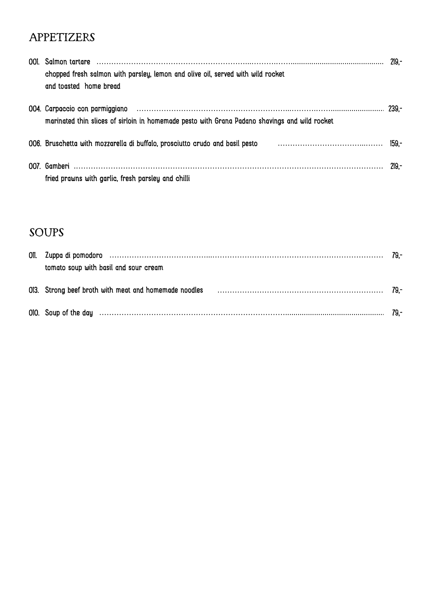### **APPETIZERS**

| chopped fresh salmon with parsley, lemon and olive oil, served with wild rocket<br>and toasted home bread |        |  |
|-----------------------------------------------------------------------------------------------------------|--------|--|
| marinated thin slices of sirloin in homemade pesto with Grana Padano shavings and wild rocket             |        |  |
| 006. Bruschetta with mozzarella di buffalo, prosciutto crudo and basil pesto                              | -159.- |  |
| fried prawns with garlic, fresh parsley and chilli                                                        | 219.-  |  |

# SOUPS

| tomato soup with basil and sour cream                                                                       |  |
|-------------------------------------------------------------------------------------------------------------|--|
| 013. Strong beef broth with meat and homemade noodles contained and according to the contained and the 79,- |  |
| 010. Soup of the day measure and the contract of the day measure of the contract of the day measure 79,-    |  |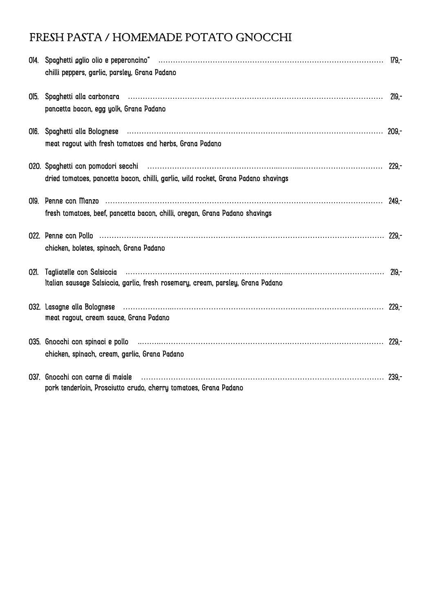# FRESH PASTA / HOMEMADE POTATO GNOCCHI

| 014. Spaghetti aglio olio e peperoncino* ……………………………………………………………………………… 179,-<br>chilli peppers, garlic, parsley, Grana Padano                                                                       |  |
|------------------------------------------------------------------------------------------------------------------------------------------------------------------------------------------------------|--|
| pancetta bacon, egg yolk, Grana Padano                                                                                                                                                               |  |
| meat ragout with fresh tomatoes and herbs, Grana Padano                                                                                                                                              |  |
| 020. Spaghetti con pomodori secchi membri matteriali controllare che controlle controlle con pomodori secchi m<br>dried tomatoes, pancetta bacon, chilli, garlic, wild rocket, Grana Padano shavings |  |
| fresh tomatoes, beef, pancetta bacon, chilli, oregan, Grana Padano shavings                                                                                                                          |  |
| chicken, boletes, spinach, Grana Padano                                                                                                                                                              |  |
| 021. Tagliatelle con Salsiccia (allegation and allegation and allegation and allegation and allegation and all<br>Italian sausage Salsiccia, garlic, fresh rosemary, cream, parsley, Grana Padano    |  |
| meat ragout, cream sauce, Grana Padano                                                                                                                                                               |  |
| chicken, spinach, cream, garlic, Grana Padano                                                                                                                                                        |  |
| 037. Gnocchi con carne di maiale<br>pork tenderloin, Prosciutto crudo, cherry tomatoes, Grana Padano                                                                                                 |  |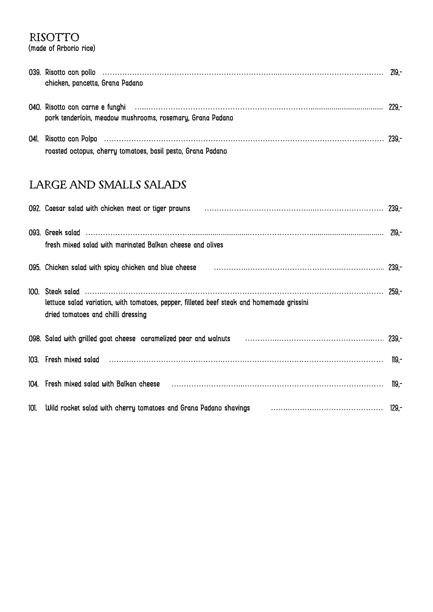### RISOTTO

(made of Arborio rice)

| chicken, pancetta, Grana Padano                             |  |
|-------------------------------------------------------------|--|
| pork tenderloin, meadow mushrooms, rosemary, Grana Padano   |  |
| roasted octopus, cherry tomatoes, basil pesto, Grana Padano |  |

## LARGE AND SMALLS SALADS

| 092. Caesar salad with chicken meat or tiger prawns (and the content content content and the 239,-                              |  |
|---------------------------------------------------------------------------------------------------------------------------------|--|
| fresh mixed salad with marinated Balkan cheese and olives                                                                       |  |
| 095. Chicken salad with spicy chicken and blue cheese manufactured contain and the container 239,-                              |  |
| lettuce salad variation, with tomatoes, pepper, filleted beef steak and homemade grissini<br>dried tomatoes and chilli dressing |  |
| 098. Salad with grilled goat cheese caramelized pear and walnuts (and all contained all all all all 239,-                       |  |
| 103. Fresh mixed salad communication and the contract the contract of the contract the contract the contract t                  |  |
| 104. Fresh mixed salad with Balkan cheese manufactured contains and the contact the manufactured manufactured                   |  |
| 101. Wild rocket salad with cherry tomatoes and Grana Padano shavings [101] University Conservation and the 129,-               |  |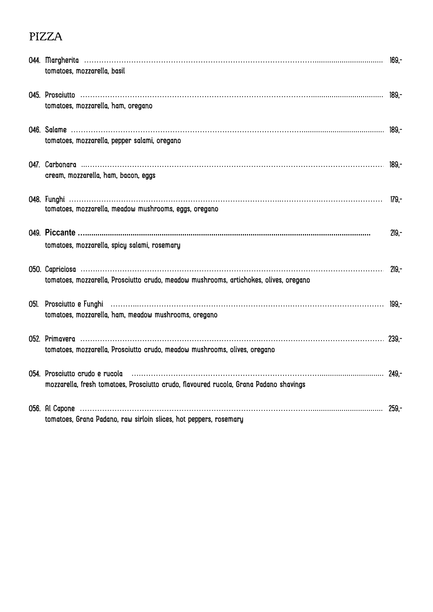## PIZZA

| tomatoes, mozzarella, basil                                                                                                                                                                            |         |
|--------------------------------------------------------------------------------------------------------------------------------------------------------------------------------------------------------|---------|
| tomatoes, mozzarella, ham, oregano                                                                                                                                                                     |         |
| tomatoes, mozzarella, pepper salami, oregano                                                                                                                                                           |         |
| cream, mozzarella, ham, bacon, eggs                                                                                                                                                                    |         |
| tomatoes, mozzarella, meadow mushrooms, eggs, oregano                                                                                                                                                  | 179.-   |
| tomatoes, mozzarella, spicy salami, rosemary                                                                                                                                                           | $219 -$ |
| tomatoes, mozzarella, Prosciutto crudo, meadow mushrooms, artichokes, olives, oregano                                                                                                                  | 219.-   |
| tomatoes, mozzarella, ham, meadow mushrooms, oregano                                                                                                                                                   |         |
| tomatoes, mozzarella, Prosciutto crudo, meadow mushrooms, olives, oregano                                                                                                                              |         |
| 054. Prosciutto crudo e rucola (1998) (249, 1998) (249, 1998) (249, 1998) (249, 1998) (249, 1998) (249, 1998)<br>mozzarella, fresh tomatoes, Prosciutto crudo, flavoured rucola, Grana Padano shavings |         |
| tomatoes, Grana Padano, raw sirloin slices, hot peppers, rosemary                                                                                                                                      |         |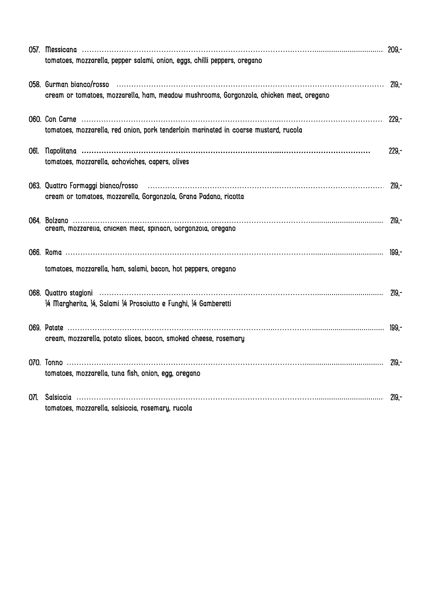|      | tomatoes, mozzarella, pepper salami, onion, eggs, chilli peppers, oregano               |         |
|------|-----------------------------------------------------------------------------------------|---------|
|      |                                                                                         |         |
|      | cream or tomatoes, mozzarella, ham, meadow mushrooms, Gorgonzola, chicken meat, oregano |         |
|      | tomatoes, mozzarella, red onion, pork tenderloin marinated in coarse mustard, rucola    |         |
|      |                                                                                         |         |
| 061. | tomatoes, mozzarella, achoviches, capers, olives                                        | $229 -$ |
|      |                                                                                         |         |
|      | cream or tomatoes, mozzarella, Gorgonzola, Grana Padano, ricotta                        |         |
|      |                                                                                         |         |
|      | cream, mozzarella, cnicken meat, spinach, borgonzola, oregano                           |         |
|      |                                                                                         |         |
|      | tomatoes, mozzarella, ham, salami, bacon, hot peppers, oregano                          |         |
|      |                                                                                         |         |
|      | 1/4 Margherita, 1/4, Salami 1/4 Prosciutto e Funghi, 1/4 Gamberetti                     |         |
|      |                                                                                         |         |
|      | cream, mozzarella, potato slices, bacon, smoked cheese, rosemary                        |         |
|      |                                                                                         |         |
|      | tomatoes, mozzarella, tuna fish, onion, egg, oregano                                    |         |
|      |                                                                                         |         |
|      | tomatoes, mozzarella, salsiccia, rosemary, rucola                                       |         |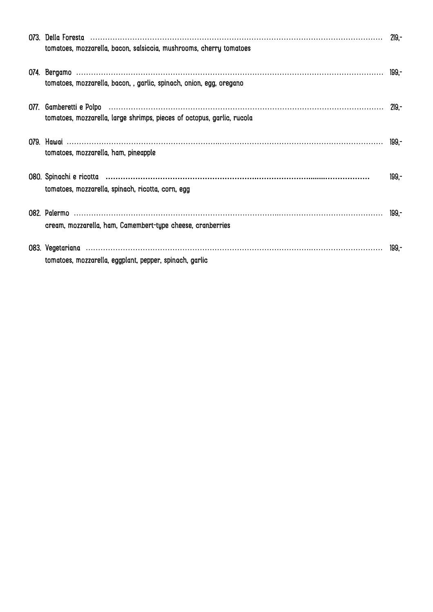| tomatoes, mozzarella, bacon, salsiccia, mushrooms, cherry tomatoes                                            |         |
|---------------------------------------------------------------------------------------------------------------|---------|
| tomatoes, mozzarella, bacon, , garlic, spinach, onion, egg, oregano                                           |         |
| 077. Gamberetti e Polpo (111) 219,-<br>tomatoes, mozzarella, large shrimps, pieces of octopus, garlic, rucola |         |
| tomatoes, mozzarella, ham, pineapple                                                                          |         |
| tomatoes, mozzarella, spinach, ricotta, corn, egg                                                             | $199 -$ |
| cream, mozzarella, ham, Camembert-type cheese, cranberries                                                    |         |
| tomatoes, mozzarella, eggplant, pepper, spinach, garlic                                                       |         |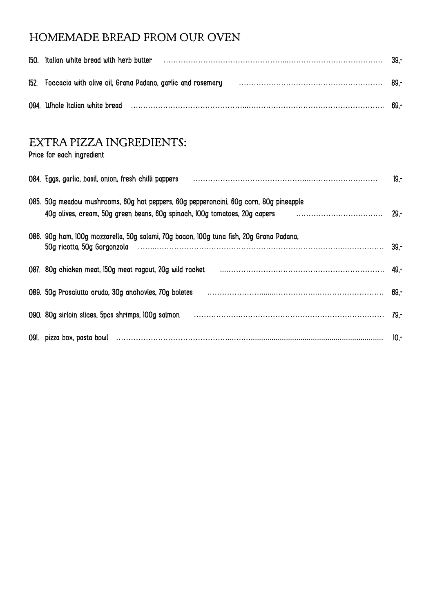## HOMEMADE BREAD FROM OUR OVEN

| 150. Italian white bread with herb butter |                                                                                                                                                                                                                                | - 39.- |
|-------------------------------------------|--------------------------------------------------------------------------------------------------------------------------------------------------------------------------------------------------------------------------------|--------|
|                                           | 152. Foccacia with olive oil, Grana Padano, garlic and rosemary manufaction contained and the season of 89,-                                                                                                                   |        |
|                                           | 094. Whole Italian white bread manufactured and the control of the control of the control of the control of the control of the control of the control of the control of the control of the control of the control of the contr | 69.    |

#### EXTRA PIZZA INGREDIENTS:

Price for each ingredient

| 084. Eggs, garlic, basil, onion, fresh chilli pappers                                                                                                                                                   | $19 -$ |
|---------------------------------------------------------------------------------------------------------------------------------------------------------------------------------------------------------|--------|
| 085. 50g meadow mushrooms, 60g hot peppers, 60g pepperoncini, 60g corn, 80g pineapple<br>40g olives, cream, 50g green beans, 60g spinach, 100g tomatoes, 20g capers marrow and the stream stream to the | -29,-  |
| 086. 90g ham, 100g mozzarella, 50g salami, 70g bacon, 100g tuna fish, 20g Grana Padano,                                                                                                                 |        |
| 087. 80g chicken meat, 150g meat ragout, 20g wild rocket manufactured and the content of the mean of the conte                                                                                          | -49. - |
| 089. 50g Prosciutto crudo, 30g anchovies, 70g boletes                                                                                                                                                   |        |
| 090. 80g sirloin slices, 5pcs shrimps, 100g salmon                                                                                                                                                      |        |
|                                                                                                                                                                                                         | $10 -$ |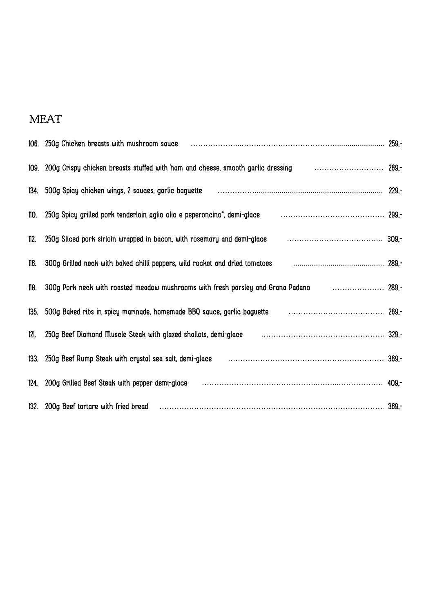# MEAT

|      | 106. 250g Chicken breasts with mushroom sauce manumental continuum control control 259,-                          |  |
|------|-------------------------------------------------------------------------------------------------------------------|--|
|      | 109. 200g Crispy chicken breasts stuffed with ham and cheese, smooth garlic dressing                              |  |
|      | 134. 500g Spicy chicken wings, 2 sauces, garlic baguette maturities and contain the content and contained a 229,- |  |
| 110. | -250g Spicy grilled pork tenderloin aglio olio e peperoncino", demi-glace and accommunication and the support o   |  |
| 112. | 250g Sliced pork sirloin wrapped in bacon, with rosemary and demi-glace                                           |  |
| 116. | 300g Grilled neck with baked chilli peppers, wild rocket and dried tomatoes                                       |  |
| 118. | 300g Pork neck with roasted meadow mushrooms with fresh parsley and Grana Padano Fig. (1995).                     |  |
|      | 135. 500g Baked ribs in spicy marinade, homemade BBQ sauce, garlic baguette marror contained the contained 269,-  |  |
| 121. | 250g Beef Diamond Muscle Steak with glazed shallots, demi-glace manufactured and successive and 329,-             |  |
|      | 133. 250g Beef Rump Steak with crystal sea salt, demi-glace manufactured and contain and the 369,-                |  |
|      | 124. 200g Grilled Beef Steak with pepper demi-glace manufactured contains and the container and 409,-             |  |
|      | 132. 200g Beef tartare with fried bread manufactured and the content of the state of 369,-                        |  |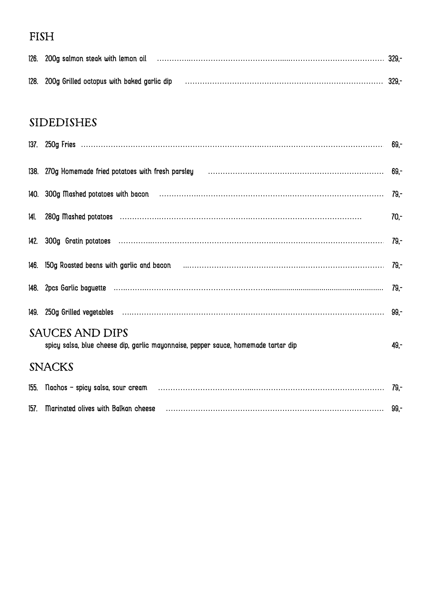## FISH

| 126. 200g salmon steak with lemon oil           | 329  |
|-------------------------------------------------|------|
| 128. 200g Grilled octopus with baked garlic dip | 329, |

## SIDEDISHES

|               | 138. 270g Homemade fried potatoes with fresh parsley manufactured and the content of the 69,-                   |        |
|---------------|-----------------------------------------------------------------------------------------------------------------|--------|
|               |                                                                                                                 |        |
|               |                                                                                                                 | $70 -$ |
|               |                                                                                                                 |        |
|               | 146. 150g Roasted beans with garlic and bacon manufactured and the control of the control of the control of the |        |
|               |                                                                                                                 |        |
|               |                                                                                                                 |        |
|               | SAUCES AND DIPS<br>spicy salsa, blue cheese dip, garlic mayonnaise, pepper sauce, homemade tartar dip           | 49,-   |
| <b>SNACKS</b> |                                                                                                                 |        |
|               |                                                                                                                 |        |
|               | 157. Marinated olives with Balkan cheese manufactured and the control of the set of 99,-                        |        |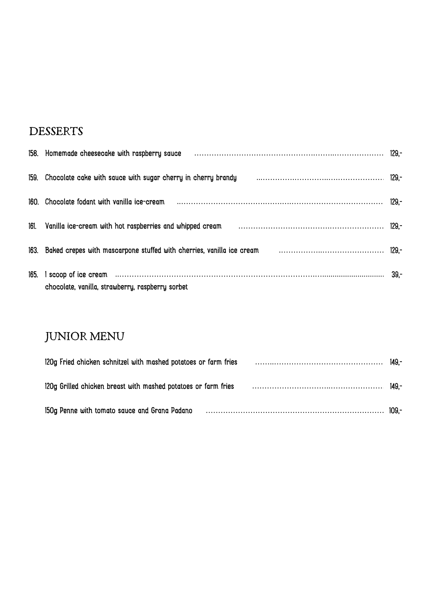#### **DESSERTS**

|      | 158. Homemade cheesecake with raspberry sauce manufactured contain and the manufactured and the 129,-            |       |
|------|------------------------------------------------------------------------------------------------------------------|-------|
|      | 159. Chocolate cake with sauce with sugar cherry in cherry brandy manufactured contains the content of 129,-     |       |
|      |                                                                                                                  | 129.- |
|      | 161. Vanilla ice-cream with hot raspberries and whipped cream manufactured contain contained variation and 129,- |       |
|      | 163. Baked crepes with mascarpone stuffed with cherries, vanilla ice cream mass contain the container the 129,-  |       |
| 165. | chocolate, vanilla, strawberry, raspberry sorbet                                                                 |       |

# JUNIOR MENU

| 149 <sup>-</sup> 120g Fried chicken schnitzel with mashed potatoes or farm fries match contained a subsequent that the state |  |  |
|------------------------------------------------------------------------------------------------------------------------------|--|--|
| 149, 120g Grilled chicken breast with mashed potatoes or farm fries matches and contain the control of the 149-              |  |  |
| 150g Penne with tomato sauce and Grana Padano material contains and the contract to the 109,-                                |  |  |